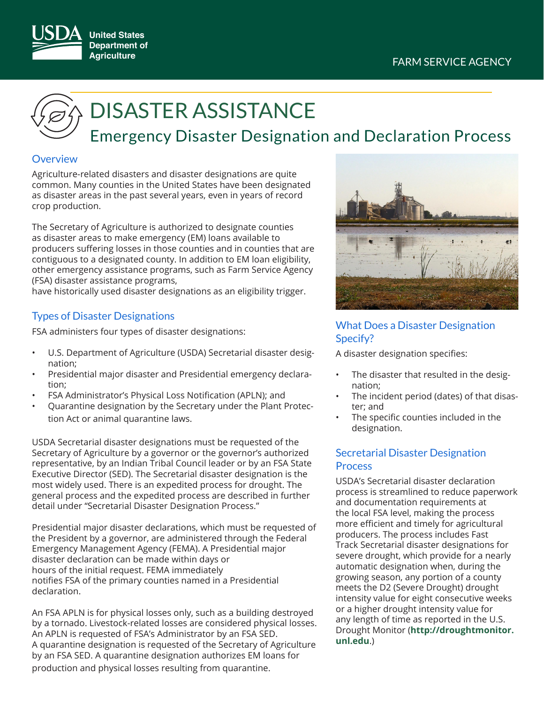

# DISASTER ASSISTANCE

# Emergency Disaster Designation and Declaration Process

## **Overview**

Agriculture-related disasters and disaster designations are quite common. Many counties in the United States have been designated as disaster areas in the past several years, even in years of record crop production.

The Secretary of Agriculture is authorized to designate counties as disaster areas to make emergency (EM) loans available to producers suffering losses in those counties and in counties that are contiguous to a designated county. In addition to EM loan eligibility, other emergency assistance programs, such as Farm Service Agency (FSA) disaster assistance programs,

have historically used disaster designations as an eligibility trigger.

# Types of Disaster Designations

FSA administers four types of disaster designations:

- U.S. Department of Agriculture (USDA) Secretarial disaster designation;
- Presidential major disaster and Presidential emergency declaration;
- FSA Administrator's Physical Loss Notification (APLN); and
- Quarantine designation by the Secretary under the Plant Protection Act or animal quarantine laws.

USDA Secretarial disaster designations must be requested of the Secretary of Agriculture by a governor or the governor's authorized representative, by an Indian Tribal Council leader or by an FSA State Executive Director (SED). The Secretarial disaster designation is the most widely used. There is an expedited process for drought. The general process and the expedited process are described in further detail under "Secretarial Disaster Designation Process."

Presidential major disaster declarations, which must be requested of the President by a governor, are administered through the Federal Emergency Management Agency (FEMA). A Presidential major disaster declaration can be made within days or hours of the initial request. FEMA immediately notifies FSA of the primary counties named in a Presidential declaration.

An FSA APLN is for physical losses only, such as a building destroyed by a tornado. Livestock-related losses are considered physical losses. An APLN is requested of FSA's Administrator by an FSA SED. A quarantine designation is requested of the Secretary of Agriculture by an FSA SED. A quarantine designation authorizes EM loans for production and physical losses resulting from quarantine.



# What Does a Disaster Designation Specify?

A disaster designation specifies:

- The disaster that resulted in the designation;
- The incident period (dates) of that disaster; and
- The specific counties included in the designation.

# Secretarial Disaster Designation **Process**

USDA's Secretarial disaster declaration process is streamlined to reduce paperwork and documentation requirements at the local FSA level, making the process more efficient and timely for agricultural producers. The process includes Fast Track Secretarial disaster designations for severe drought, which provide for a nearly automatic designation when, during the growing season, any portion of a county meets the D2 (Severe Drought) drought intensity value for eight consecutive weeks or a higher drought intensity value for any length of time as reported in the U.S. Drought Monitor (**[http://droughtmonitor.](http://droughtmonitor.unl.edu/) [unl.edu](http://droughtmonitor.unl.edu/)**.)